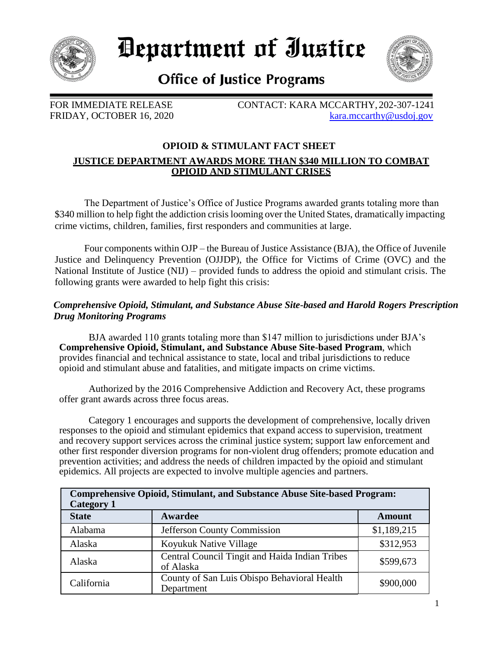

*Department of Iustice* 



**Office of Justice Programs** 

FOR IMMEDIATE RELEASE CONTACT: KARA MCCARTHY, 202-307-1241 FRIDAY, OCTOBER 16, 2020 [kara.mccarthy@usdoj.gov](mailto:kara.mccarthy@usdoj.gov)

# **OPIOID & STIMULANT FACT SHEET JUSTICE DEPARTMENT AWARDS MORE THAN \$340 MILLION TO COMBAT OPIOID AND STIMULANT CRISES**

The Department of Justice's Office of Justice Programs awarded grants totaling more than \$340 million to help fight the addiction crisis looming over the United States, dramatically impacting crime victims, children, families, first responders and communities at large.

Four components within OJP – the Bureau of Justice Assistance (BJA), the Office of Juvenile Justice and Delinquency Prevention (OJJDP), the Office for Victims of Crime (OVC) and the National Institute of Justice (NIJ) – provided funds to address the opioid and stimulant crisis. The following grants were awarded to help fight this crisis:

# *Comprehensive Opioid, Stimulant, and Substance Abuse Site-based and Harold Rogers Prescription Drug Monitoring Programs*

BJA awarded 110 grants totaling more than \$147 million to jurisdictions under BJA's **Comprehensive Opioid, Stimulant, and Substance Abuse Site-based Program**, which provides financial and technical assistance to state, local and tribal jurisdictions to reduce opioid and stimulant abuse and fatalities, and mitigate impacts on crime victims.

Authorized by the 2016 Comprehensive Addiction and Recovery Act, these programs offer grant awards across three focus areas.

Category 1 encourages and supports the development of comprehensive, locally driven responses to the opioid and stimulant epidemics that expand access to supervision, treatment and recovery support services across the criminal justice system; support law enforcement and other first responder diversion programs for non-violent drug offenders; promote education and prevention activities; and address the needs of children impacted by the opioid and stimulant epidemics. All projects are expected to involve multiple agencies and partners.

| <b>Comprehensive Opioid, Stimulant, and Substance Abuse Site-based Program:</b><br><b>Category 1</b> |                                                             |               |
|------------------------------------------------------------------------------------------------------|-------------------------------------------------------------|---------------|
| <b>State</b>                                                                                         | Awardee                                                     | <b>Amount</b> |
| Alabama                                                                                              | Jefferson County Commission                                 | \$1,189,215   |
| Alaska                                                                                               | Koyukuk Native Village                                      | \$312,953     |
| Alaska                                                                                               | Central Council Tingit and Haida Indian Tribes<br>of Alaska | \$599,673     |
| California                                                                                           | County of San Luis Obispo Behavioral Health<br>Department   | \$900,000     |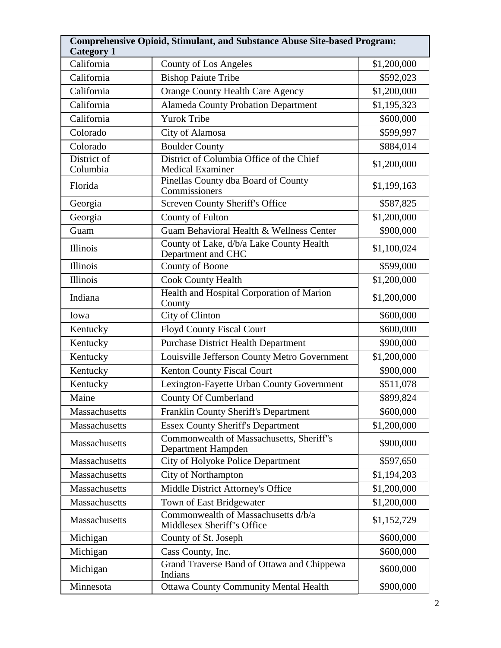| <b>Category 1</b>       | <b>Comprehensive Opioid, Stimulant, and Substance Abuse Site-based Program:</b> |             |
|-------------------------|---------------------------------------------------------------------------------|-------------|
| California              | <b>County of Los Angeles</b>                                                    | \$1,200,000 |
| California              | <b>Bishop Paiute Tribe</b>                                                      | \$592,023   |
| California              | <b>Orange County Health Care Agency</b>                                         | \$1,200,000 |
| California              | <b>Alameda County Probation Department</b>                                      | \$1,195,323 |
| California              | <b>Yurok Tribe</b>                                                              | \$600,000   |
| Colorado                | City of Alamosa                                                                 | \$599,997   |
| Colorado                | <b>Boulder County</b>                                                           | \$884,014   |
| District of<br>Columbia | District of Columbia Office of the Chief<br><b>Medical Examiner</b>             | \$1,200,000 |
| Florida                 | Pinellas County dba Board of County<br>Commissioners                            | \$1,199,163 |
| Georgia                 | <b>Screven County Sheriff's Office</b>                                          | \$587,825   |
| Georgia                 | <b>County of Fulton</b>                                                         | \$1,200,000 |
| Guam                    | Guam Behavioral Health & Wellness Center                                        | \$900,000   |
| Illinois                | County of Lake, d/b/a Lake County Health<br>Department and CHC                  | \$1,100,024 |
| <b>Illinois</b>         | County of Boone                                                                 | \$599,000   |
| <b>Illinois</b>         | <b>Cook County Health</b>                                                       | \$1,200,000 |
| Indiana                 | Health and Hospital Corporation of Marion<br>County                             | \$1,200,000 |
| Iowa                    | City of Clinton                                                                 | \$600,000   |
| Kentucky                | <b>Floyd County Fiscal Court</b>                                                | \$600,000   |
| Kentucky                | <b>Purchase District Health Department</b>                                      | \$900,000   |
| Kentucky                | Louisville Jefferson County Metro Government                                    | \$1,200,000 |
| Kentucky                | Kenton County Fiscal Court                                                      | \$900,000   |
| Kentucky                | Lexington-Fayette Urban County Government                                       | \$511,078   |
| Maine                   | <b>County Of Cumberland</b>                                                     | \$899,824   |
| Massachusetts           | <b>Franklin County Sheriff's Department</b>                                     | \$600,000   |
| Massachusetts           | <b>Essex County Sheriff's Department</b>                                        | \$1,200,000 |
| Massachusetts           | Commonwealth of Massachusetts, Sheriff"s<br>Department Hampden                  | \$900,000   |
| Massachusetts           | City of Holyoke Police Department                                               | \$597,650   |
| Massachusetts           | <b>City of Northampton</b>                                                      | \$1,194,203 |
| Massachusetts           | Middle District Attorney's Office                                               | \$1,200,000 |
| Massachusetts           | Town of East Bridgewater                                                        | \$1,200,000 |
| Massachusetts           | Commonwealth of Massachusetts d/b/a<br>Middlesex Sheriff"s Office               | \$1,152,729 |
| Michigan                | County of St. Joseph                                                            | \$600,000   |
| Michigan                | Cass County, Inc.                                                               | \$600,000   |
| Michigan                | Grand Traverse Band of Ottawa and Chippewa<br>Indians                           | \$600,000   |
| Minnesota               | <b>Ottawa County Community Mental Health</b>                                    | \$900,000   |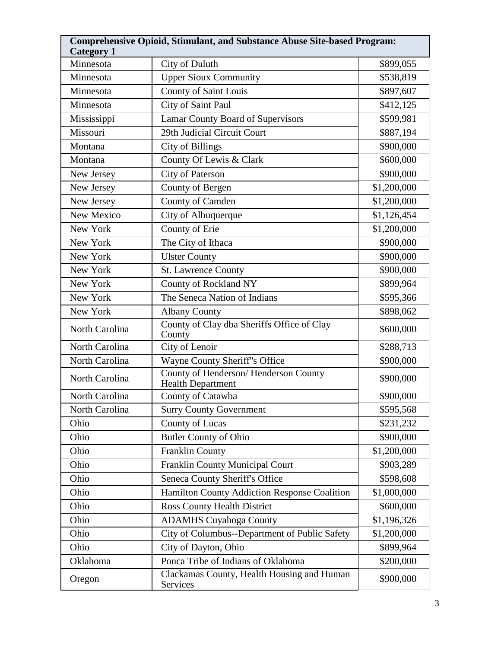| <b>Comprehensive Opioid, Stimulant, and Substance Abuse Site-based Program:</b><br><b>Category 1</b> |                                                                  |             |
|------------------------------------------------------------------------------------------------------|------------------------------------------------------------------|-------------|
| Minnesota                                                                                            | City of Duluth                                                   | \$899,055   |
| Minnesota                                                                                            | <b>Upper Sioux Community</b>                                     | \$538,819   |
| Minnesota                                                                                            | <b>County of Saint Louis</b>                                     | \$897,607   |
| Minnesota                                                                                            | City of Saint Paul                                               | \$412,125   |
| Mississippi                                                                                          | <b>Lamar County Board of Supervisors</b>                         | \$599,981   |
| Missouri                                                                                             | 29th Judicial Circuit Court                                      | \$887,194   |
| Montana                                                                                              | <b>City of Billings</b>                                          | \$900,000   |
| Montana                                                                                              | County Of Lewis & Clark                                          | \$600,000   |
| New Jersey                                                                                           | City of Paterson                                                 | \$900,000   |
| New Jersey                                                                                           | County of Bergen                                                 | \$1,200,000 |
| New Jersey                                                                                           | County of Camden                                                 | \$1,200,000 |
| New Mexico                                                                                           | City of Albuquerque                                              | \$1,126,454 |
| New York                                                                                             | County of Erie                                                   | \$1,200,000 |
| New York                                                                                             | The City of Ithaca                                               | \$900,000   |
| New York                                                                                             | <b>Ulster County</b>                                             | \$900,000   |
| New York                                                                                             | <b>St. Lawrence County</b>                                       | \$900,000   |
| New York                                                                                             | County of Rockland NY                                            | \$899,964   |
| New York                                                                                             | The Seneca Nation of Indians                                     | \$595,366   |
| New York                                                                                             | <b>Albany County</b>                                             | \$898,062   |
| North Carolina                                                                                       | County of Clay dba Sheriffs Office of Clay<br>County             | \$600,000   |
| North Carolina                                                                                       | City of Lenoir                                                   | \$288,713   |
| North Carolina                                                                                       | Wayne County Sheriff"s Office                                    | \$900,000   |
| North Carolina                                                                                       | County of Henderson/Henderson County<br><b>Health Department</b> | \$900,000   |
| North Carolina                                                                                       | County of Catawba                                                | \$900,000   |
| North Carolina                                                                                       | <b>Surry County Government</b>                                   | \$595,568   |
| Ohio                                                                                                 | County of Lucas                                                  | \$231,232   |
| Ohio                                                                                                 | <b>Butler County of Ohio</b>                                     | \$900,000   |
| Ohio                                                                                                 | <b>Franklin County</b>                                           | \$1,200,000 |
| Ohio                                                                                                 | Franklin County Municipal Court                                  | \$903,289   |
| Ohio                                                                                                 | Seneca County Sheriff's Office                                   | \$598,608   |
| Ohio                                                                                                 | Hamilton County Addiction Response Coalition                     | \$1,000,000 |
| Ohio                                                                                                 | <b>Ross County Health District</b>                               | \$600,000   |
| Ohio                                                                                                 | <b>ADAMHS Cuyahoga County</b>                                    | \$1,196,326 |
| Ohio                                                                                                 | City of Columbus--Department of Public Safety                    | \$1,200,000 |
| Ohio                                                                                                 | City of Dayton, Ohio                                             | \$899,964   |
| Oklahoma                                                                                             | Ponca Tribe of Indians of Oklahoma                               | \$200,000   |
| Oregon                                                                                               | Clackamas County, Health Housing and Human<br>Services           | \$900,000   |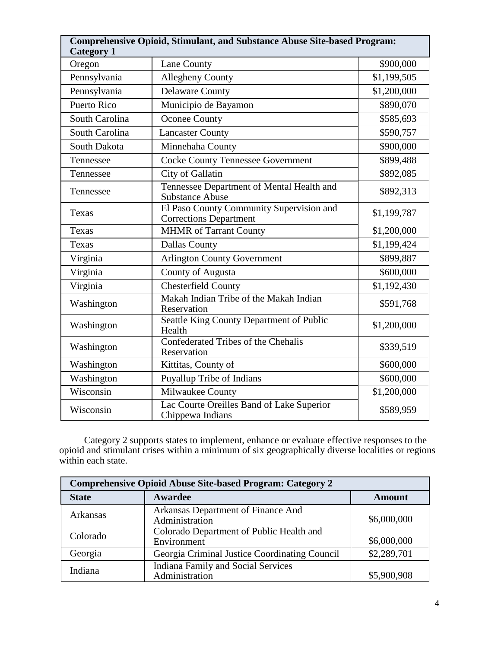| <b>Comprehensive Opioid, Stimulant, and Substance Abuse Site-based Program:</b><br><b>Category 1</b> |                                                                           |             |
|------------------------------------------------------------------------------------------------------|---------------------------------------------------------------------------|-------------|
| Oregon                                                                                               | Lane County                                                               | \$900,000   |
| Pennsylvania                                                                                         | <b>Allegheny County</b>                                                   | \$1,199,505 |
| Pennsylvania                                                                                         | <b>Delaware County</b>                                                    | \$1,200,000 |
| Puerto Rico                                                                                          | Municipio de Bayamon                                                      | \$890,070   |
| South Carolina                                                                                       | Oconee County                                                             | \$585,693   |
| South Carolina                                                                                       | <b>Lancaster County</b>                                                   | \$590,757   |
| South Dakota                                                                                         | Minnehaha County                                                          | \$900,000   |
| Tennessee                                                                                            | <b>Cocke County Tennessee Government</b>                                  | \$899,488   |
| Tennessee                                                                                            | City of Gallatin                                                          | \$892,085   |
| Tennessee                                                                                            | Tennessee Department of Mental Health and<br><b>Substance Abuse</b>       | \$892,313   |
| Texas                                                                                                | El Paso County Community Supervision and<br><b>Corrections Department</b> | \$1,199,787 |
| Texas                                                                                                | <b>MHMR</b> of Tarrant County                                             | \$1,200,000 |
| Texas                                                                                                | <b>Dallas County</b>                                                      | \$1,199,424 |
| Virginia                                                                                             | <b>Arlington County Government</b>                                        | \$899,887   |
| Virginia                                                                                             | County of Augusta                                                         | \$600,000   |
| Virginia                                                                                             | <b>Chesterfield County</b>                                                | \$1,192,430 |
| Washington                                                                                           | Makah Indian Tribe of the Makah Indian<br>Reservation                     | \$591,768   |
| Washington                                                                                           | Seattle King County Department of Public<br>Health                        | \$1,200,000 |
| Washington                                                                                           | Confederated Tribes of the Chehalis<br>Reservation                        | \$339,519   |
| Washington                                                                                           | Kittitas, County of                                                       | \$600,000   |
| Washington                                                                                           | Puyallup Tribe of Indians                                                 | \$600,000   |
| Wisconsin                                                                                            | Milwaukee County                                                          | \$1,200,000 |
| Wisconsin                                                                                            | Lac Courte Oreilles Band of Lake Superior<br>Chippewa Indians             | \$589,959   |

Category 2 supports states to implement, enhance or evaluate effective responses to the opioid and stimulant crises within a minimum of six geographically diverse localities or regions within each state.

| <b>Comprehensive Opioid Abuse Site-based Program: Category 2</b> |                                               |               |
|------------------------------------------------------------------|-----------------------------------------------|---------------|
| <b>State</b>                                                     | Awardee                                       | <b>Amount</b> |
| <b>Arkansas</b>                                                  | Arkansas Department of Finance And            |               |
|                                                                  | Administration                                | \$6,000,000   |
| Colorado                                                         | Colorado Department of Public Health and      |               |
|                                                                  | Environment                                   | \$6,000,000   |
| Georgia                                                          | Georgia Criminal Justice Coordinating Council | \$2,289,701   |
| Indiana                                                          | Indiana Family and Social Services            |               |
|                                                                  | Administration                                | \$5,900,908   |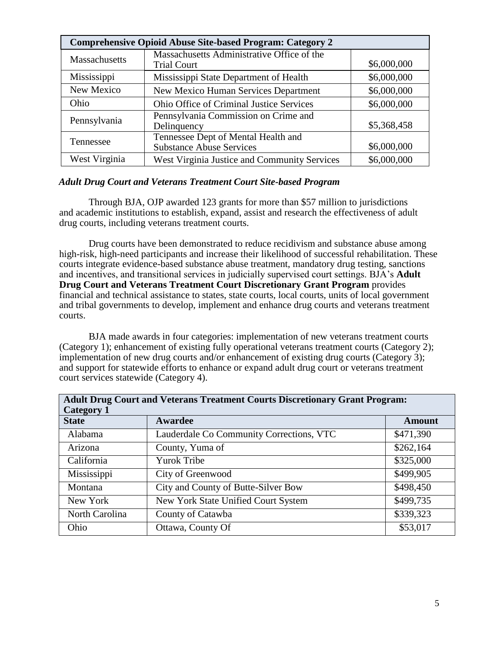| <b>Comprehensive Opioid Abuse Site-based Program: Category 2</b> |                                                                        |             |
|------------------------------------------------------------------|------------------------------------------------------------------------|-------------|
| Massachusetts                                                    | Massachusetts Administrative Office of the<br><b>Trial Court</b>       | \$6,000,000 |
| Mississippi                                                      | Mississippi State Department of Health                                 | \$6,000,000 |
| New Mexico                                                       | <b>New Mexico Human Services Department</b>                            | \$6,000,000 |
| Ohio                                                             | <b>Ohio Office of Criminal Justice Services</b>                        | \$6,000,000 |
| Pennsylvania                                                     | Pennsylvania Commission on Crime and<br>Delinquency                    | \$5,368,458 |
| Tennessee                                                        | Tennessee Dept of Mental Health and<br><b>Substance Abuse Services</b> | \$6,000,000 |
| West Virginia                                                    | West Virginia Justice and Community Services                           | \$6,000,000 |

#### *Adult Drug Court and Veterans Treatment Court Site-based Program*

Through BJA, OJP awarded 123 grants for more than \$57 million to jurisdictions and academic institutions to establish, expand, assist and research the effectiveness of adult drug courts, including veterans treatment courts.

Drug courts have been demonstrated to reduce recidivism and substance abuse among high-risk, high-need participants and increase their likelihood of successful rehabilitation. These courts integrate evidence-based substance abuse treatment, mandatory drug testing, sanctions and incentives, and transitional services in judicially supervised court settings. BJA's **Adult Drug Court and Veterans Treatment Court Discretionary Grant Program** provides financial and technical assistance to states, state courts, local courts, units of local government and tribal governments to develop, implement and enhance drug courts and veterans treatment courts.

BJA made awards in four categories: implementation of new veterans treatment courts (Category 1); enhancement of existing fully operational veterans treatment courts (Category 2); implementation of new drug courts and/or enhancement of existing drug courts (Category 3); and support for statewide efforts to enhance or expand adult drug court or veterans treatment court services statewide (Category 4).

| <b>Adult Drug Court and Veterans Treatment Courts Discretionary Grant Program:</b><br><b>Category 1</b> |                                          |               |
|---------------------------------------------------------------------------------------------------------|------------------------------------------|---------------|
| <b>State</b>                                                                                            | Awardee                                  | <b>Amount</b> |
| Alabama                                                                                                 | Lauderdale Co Community Corrections, VTC | \$471,390     |
| Arizona                                                                                                 | County, Yuma of                          | \$262,164     |
| California                                                                                              | <b>Yurok Tribe</b>                       | \$325,000     |
| Mississippi                                                                                             | City of Greenwood                        | \$499,905     |
| Montana                                                                                                 | City and County of Butte-Silver Bow      | \$498,450     |
| New York                                                                                                | New York State Unified Court System      | \$499,735     |
| North Carolina                                                                                          | County of Catawba                        | \$339,323     |
| Ohio                                                                                                    | Ottawa, County Of                        | \$53,017      |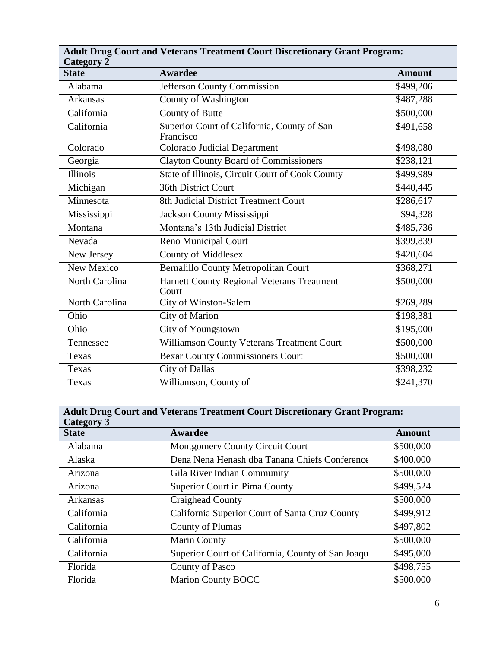| <b>Adult Drug Court and Veterans Treatment Court Discretionary Grant Program:</b><br><b>Category 2</b> |                                                          |                       |
|--------------------------------------------------------------------------------------------------------|----------------------------------------------------------|-----------------------|
| <b>State</b>                                                                                           | <b>Awardee</b>                                           | <b>Amount</b>         |
| Alabama                                                                                                | Jefferson County Commission                              | \$499,206             |
| Arkansas                                                                                               | County of Washington                                     | \$487,288             |
| California                                                                                             | County of Butte                                          | \$500,000             |
| California                                                                                             | Superior Court of California, County of San<br>Francisco | \$491,658             |
| Colorado                                                                                               | <b>Colorado Judicial Department</b>                      | \$498,080             |
| Georgia                                                                                                | <b>Clayton County Board of Commissioners</b>             | \$238,121             |
| <b>Illinois</b>                                                                                        | State of Illinois, Circuit Court of Cook County          | \$499,989             |
| Michigan                                                                                               | <b>36th District Court</b>                               | \$440,445             |
| Minnesota                                                                                              | 8th Judicial District Treatment Court                    | \$286,617             |
| Mississippi                                                                                            | Jackson County Mississippi                               | \$94,328              |
| Montana                                                                                                | Montana's 13th Judicial District                         | \$485,736             |
| Nevada                                                                                                 | <b>Reno Municipal Court</b>                              | \$399,839             |
| New Jersey                                                                                             | <b>County of Middlesex</b>                               | \$420,604             |
| <b>New Mexico</b>                                                                                      | <b>Bernalillo County Metropolitan Court</b>              | \$368,271             |
| North Carolina                                                                                         | Harnett County Regional Veterans Treatment<br>Court      | \$500,000             |
| North Carolina                                                                                         | City of Winston-Salem                                    | \$269,289             |
| Ohio                                                                                                   | <b>City of Marion</b>                                    | \$198,381             |
| Ohio                                                                                                   | City of Youngstown                                       | \$195,000             |
| Tennessee                                                                                              | Williamson County Veterans Treatment Court               | \$500,000             |
| Texas                                                                                                  | <b>Bexar County Commissioners Court</b>                  | \$500,000             |
| Texas                                                                                                  | <b>City of Dallas</b>                                    | \$398,232             |
| Texas                                                                                                  | Williamson, County of                                    | $\overline{$}241,370$ |

| <b>Adult Drug Court and Veterans Treatment Court Discretionary Grant Program:</b><br><b>Category 3</b> |                                                   |               |
|--------------------------------------------------------------------------------------------------------|---------------------------------------------------|---------------|
| <b>State</b>                                                                                           | Awardee                                           | <b>Amount</b> |
| Alabama                                                                                                | Montgomery County Circuit Court                   | \$500,000     |
| Alaska                                                                                                 | Dena Nena Henash dba Tanana Chiefs Conference     | \$400,000     |
| Arizona                                                                                                | Gila River Indian Community                       | \$500,000     |
| Arizona                                                                                                | Superior Court in Pima County                     | \$499,524     |
| <b>Arkansas</b>                                                                                        | Craighead County                                  | \$500,000     |
| California                                                                                             | California Superior Court of Santa Cruz County    | \$499,912     |
| California                                                                                             | <b>County of Plumas</b>                           | \$497,802     |
| California                                                                                             | <b>Marin County</b>                               | \$500,000     |
| California                                                                                             | Superior Court of California, County of San Joaqu | \$495,000     |
| Florida                                                                                                | County of Pasco                                   | \$498,755     |
| Florida                                                                                                | <b>Marion County BOCC</b>                         | \$500,000     |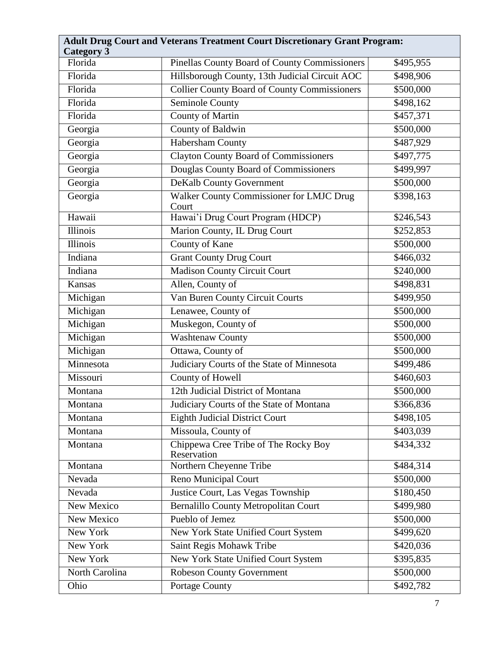| <b>Adult Drug Court and Veterans Treatment Court Discretionary Grant Program:</b><br><b>Category 3</b> |                                                      |           |
|--------------------------------------------------------------------------------------------------------|------------------------------------------------------|-----------|
| Florida                                                                                                | <b>Pinellas County Board of County Commissioners</b> | \$495,955 |
| Florida                                                                                                | Hillsborough County, 13th Judicial Circuit AOC       | \$498,906 |
| Florida                                                                                                | <b>Collier County Board of County Commissioners</b>  | \$500,000 |
| Florida                                                                                                | <b>Seminole County</b>                               | \$498,162 |
| Florida                                                                                                | <b>County of Martin</b>                              | \$457,371 |
| Georgia                                                                                                | <b>County of Baldwin</b>                             | \$500,000 |
| Georgia                                                                                                | Habersham County                                     | \$487,929 |
| Georgia                                                                                                | <b>Clayton County Board of Commissioners</b>         | \$497,775 |
| Georgia                                                                                                | Douglas County Board of Commissioners                | \$499,997 |
| Georgia                                                                                                | <b>DeKalb County Government</b>                      | \$500,000 |
| Georgia                                                                                                | Walker County Commissioner for LMJC Drug<br>Court    | \$398,163 |
| Hawaii                                                                                                 | Hawai'i Drug Court Program (HDCP)                    | \$246,543 |
| <b>Illinois</b>                                                                                        | Marion County, IL Drug Court                         | \$252,853 |
| <b>Illinois</b>                                                                                        | <b>County of Kane</b>                                | \$500,000 |
| Indiana                                                                                                | <b>Grant County Drug Court</b>                       | \$466,032 |
| Indiana                                                                                                | <b>Madison County Circuit Court</b>                  | \$240,000 |
| Kansas                                                                                                 | Allen, County of                                     | \$498,831 |
| Michigan                                                                                               | Van Buren County Circuit Courts                      | \$499,950 |
| Michigan                                                                                               | Lenawee, County of                                   | \$500,000 |
| Michigan                                                                                               | Muskegon, County of                                  | \$500,000 |
| Michigan                                                                                               | Washtenaw County                                     | \$500,000 |
| Michigan                                                                                               | Ottawa, County of                                    | \$500,000 |
| Minnesota                                                                                              | Judiciary Courts of the State of Minnesota           | \$499,486 |
| Missouri                                                                                               | <b>County of Howell</b>                              | \$460,603 |
| Montana                                                                                                | 12th Judicial District of Montana                    | \$500,000 |
| Montana                                                                                                | Judiciary Courts of the State of Montana             | \$366,836 |
| Montana                                                                                                | <b>Eighth Judicial District Court</b>                | \$498,105 |
| Montana                                                                                                | Missoula, County of                                  | \$403,039 |
| Montana                                                                                                | Chippewa Cree Tribe of The Rocky Boy<br>Reservation  | \$434,332 |
| Montana                                                                                                | Northern Cheyenne Tribe                              | \$484,314 |
| Nevada                                                                                                 | Reno Municipal Court                                 | \$500,000 |
| Nevada                                                                                                 | Justice Court, Las Vegas Township                    | \$180,450 |
| New Mexico                                                                                             | <b>Bernalillo County Metropolitan Court</b>          | \$499,980 |
| New Mexico                                                                                             | Pueblo of Jemez                                      | \$500,000 |
| New York                                                                                               | New York State Unified Court System                  | \$499,620 |
| New York                                                                                               | Saint Regis Mohawk Tribe                             | \$420,036 |
| New York                                                                                               | New York State Unified Court System                  | \$395,835 |
| North Carolina                                                                                         | Robeson County Government                            | \$500,000 |
| Ohio                                                                                                   | Portage County                                       | \$492,782 |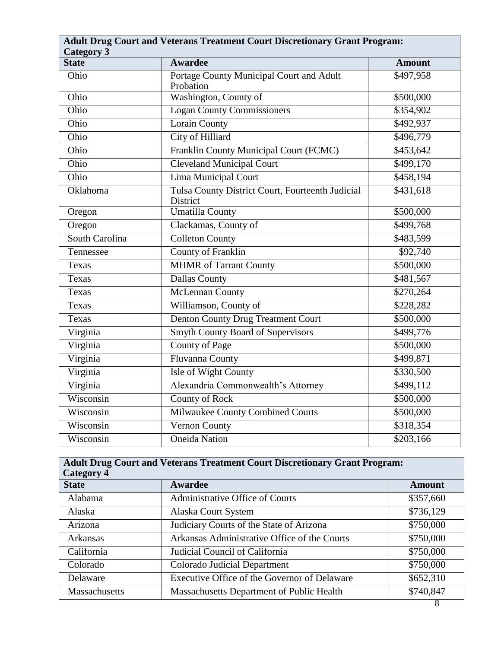| <b>Adult Drug Court and Veterans Treatment Court Discretionary Grant Program:</b> |                                                              |                   |
|-----------------------------------------------------------------------------------|--------------------------------------------------------------|-------------------|
| <b>Category 3</b><br><b>State</b>                                                 | <b>Awardee</b>                                               | <b>Amount</b>     |
| Ohio                                                                              | Portage County Municipal Court and Adult<br>Probation        | \$497,958         |
| Ohio                                                                              | Washington, County of                                        | \$500,000         |
| Ohio                                                                              | <b>Logan County Commissioners</b>                            | \$354,902         |
| Ohio                                                                              | <b>Lorain County</b>                                         | \$492,937         |
| Ohio                                                                              | <b>City of Hilliard</b>                                      | \$496,779         |
| Ohio                                                                              | Franklin County Municipal Court (FCMC)                       | $\sqrt{453,642}$  |
| Ohio                                                                              | <b>Cleveland Municipal Court</b>                             | \$499,170         |
| Ohio                                                                              | <b>Lima Municipal Court</b>                                  | \$458,194         |
| Oklahoma                                                                          | Tulsa County District Court, Fourteenth Judicial<br>District | \$431,618         |
| Oregon                                                                            | <b>Umatilla County</b>                                       | \$500,000         |
| Oregon                                                                            | Clackamas, County of                                         | \$499,768         |
| South Carolina                                                                    | <b>Colleton County</b>                                       | \$483,599         |
| Tennessee                                                                         | <b>County of Franklin</b>                                    | \$92,740          |
| Texas                                                                             | <b>MHMR</b> of Tarrant County                                | \$500,000         |
| Texas                                                                             | <b>Dallas County</b>                                         | \$481,567         |
| Texas                                                                             | <b>McLennan County</b>                                       | $\sqrt{$270,264}$ |
| Texas                                                                             | Williamson, County of                                        | \$228,282         |
| Texas                                                                             | <b>Denton County Drug Treatment Court</b>                    | \$500,000         |
| Virginia                                                                          | <b>Smyth County Board of Supervisors</b>                     | \$499,776         |
| Virginia                                                                          | County of Page                                               | \$500,000         |
| Virginia                                                                          | Fluvanna County                                              | \$499,871         |
| Virginia                                                                          | Isle of Wight County                                         | \$330,500         |
| Virginia                                                                          | Alexandria Commonwealth's Attorney                           | \$499,112         |
| Wisconsin                                                                         | <b>County of Rock</b>                                        | \$500,000         |
| Wisconsin                                                                         | Milwaukee County Combined Courts                             | \$500,000         |
| Wisconsin                                                                         | Vernon County                                                | \$318,354         |
| Wisconsin                                                                         | <b>Oneida Nation</b>                                         | \$203,166         |

| <b>Adult Drug Court and Veterans Treatment Court Discretionary Grant Program:</b><br><b>Category 4</b> |                                                  |               |
|--------------------------------------------------------------------------------------------------------|--------------------------------------------------|---------------|
| <b>State</b>                                                                                           | Awardee                                          | <b>Amount</b> |
| Alabama                                                                                                | Administrative Office of Courts                  | \$357,660     |
| Alaska                                                                                                 | Alaska Court System                              | \$736,129     |
| Arizona                                                                                                | Judiciary Courts of the State of Arizona         | \$750,000     |
| Arkansas                                                                                               | Arkansas Administrative Office of the Courts     | \$750,000     |
| California                                                                                             | Judicial Council of California                   | \$750,000     |
| Colorado                                                                                               | <b>Colorado Judicial Department</b>              | \$750,000     |
| Delaware                                                                                               | Executive Office of the Governor of Delaware     | \$652,310     |
| Massachusetts                                                                                          | <b>Massachusetts Department of Public Health</b> | \$740,847     |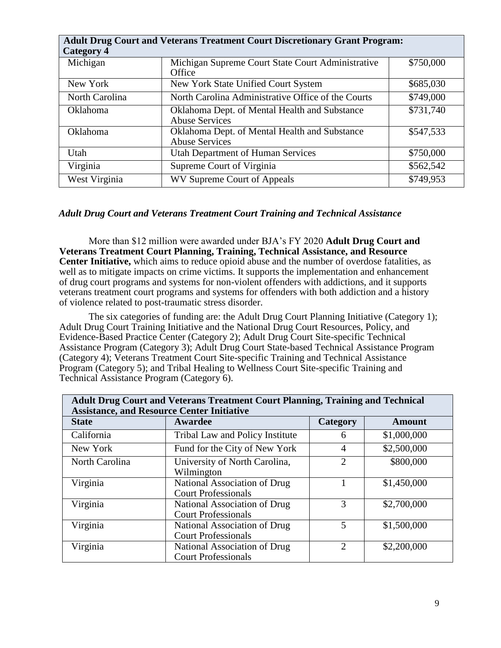| <b>Adult Drug Court and Veterans Treatment Court Discretionary Grant Program:</b><br><b>Category 4</b> |                                                                        |           |  |
|--------------------------------------------------------------------------------------------------------|------------------------------------------------------------------------|-----------|--|
| Michigan                                                                                               | Michigan Supreme Court State Court Administrative<br>Office            | \$750,000 |  |
| New York                                                                                               | New York State Unified Court System                                    | \$685,030 |  |
| North Carolina                                                                                         | North Carolina Administrative Office of the Courts                     | \$749,000 |  |
| <b>Oklahoma</b>                                                                                        | Oklahoma Dept. of Mental Health and Substance<br><b>Abuse Services</b> | \$731,740 |  |
| Oklahoma                                                                                               | Oklahoma Dept. of Mental Health and Substance<br><b>Abuse Services</b> | \$547,533 |  |
| Utah                                                                                                   | <b>Utah Department of Human Services</b>                               | \$750,000 |  |
| Virginia                                                                                               | Supreme Court of Virginia                                              | \$562,542 |  |
| West Virginia                                                                                          | WV Supreme Court of Appeals                                            | \$749,953 |  |

## *Adult Drug Court and Veterans Treatment Court Training and Technical Assistance*

More than \$12 million were awarded under BJA's FY 2020 **Adult Drug Court and Veterans Treatment Court Planning, Training, Technical Assistance, and Resource Center Initiative,** which aims to reduce opioid abuse and the number of overdose fatalities, as well as to mitigate impacts on crime victims. It supports the implementation and enhancement of drug court programs and systems for non-violent offenders with addictions, and it supports veterans treatment court programs and systems for offenders with both addiction and a history of violence related to post-traumatic stress disorder.

The six categories of funding are: the Adult Drug Court Planning Initiative (Category 1); Adult Drug Court Training Initiative and the National Drug Court Resources, Policy, and Evidence-Based Practice Center (Category 2); Adult Drug Court Site-specific Technical Assistance Program (Category 3); Adult Drug Court State-based Technical Assistance Program (Category 4); Veterans Treatment Court Site-specific Training and Technical Assistance Program (Category 5); and Tribal Healing to Wellness Court Site-specific Training and Technical Assistance Program (Category 6).

| Adult Drug Court and Veterans Treatment Court Planning, Training and Technical<br><b>Assistance, and Resource Center Initiative</b> |                                                            |                       |               |
|-------------------------------------------------------------------------------------------------------------------------------------|------------------------------------------------------------|-----------------------|---------------|
| <b>State</b>                                                                                                                        | Awardee                                                    | Category              | <b>Amount</b> |
| California                                                                                                                          | Tribal Law and Policy Institute                            | 6                     | \$1,000,000   |
| New York                                                                                                                            | Fund for the City of New York                              | 4                     | \$2,500,000   |
| North Carolina                                                                                                                      | University of North Carolina,<br>Wilmington                | $\overline{2}$        | \$800,000     |
| Virginia                                                                                                                            | National Association of Drug<br><b>Court Professionals</b> |                       | \$1,450,000   |
| Virginia                                                                                                                            | National Association of Drug<br><b>Court Professionals</b> | 3                     | \$2,700,000   |
| Virginia                                                                                                                            | National Association of Drug<br><b>Court Professionals</b> | 5                     | \$1,500,000   |
| Virginia                                                                                                                            | National Association of Drug<br><b>Court Professionals</b> | $\mathcal{D}_{\cdot}$ | \$2,200,000   |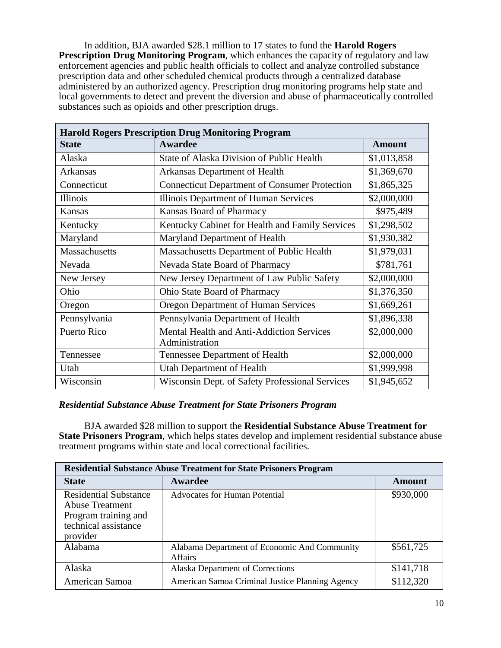In addition, BJA awarded \$28.1 million to 17 states to fund the **Harold Rogers Prescription Drug Monitoring Program**, which enhances the capacity of regulatory and law enforcement agencies and public health officials to collect and analyze controlled substance prescription data and other scheduled chemical products through a centralized database administered by an authorized agency. Prescription drug monitoring programs help state and local governments to detect and prevent the diversion and abuse of pharmaceutically controlled substances such as opioids and other prescription drugs.

| <b>Harold Rogers Prescription Drug Monitoring Program</b> |                                                                    |               |  |
|-----------------------------------------------------------|--------------------------------------------------------------------|---------------|--|
| <b>State</b>                                              | <b>Awardee</b>                                                     | <b>Amount</b> |  |
| Alaska                                                    | State of Alaska Division of Public Health                          | \$1,013,858   |  |
| <b>Arkansas</b>                                           | Arkansas Department of Health                                      | \$1,369,670   |  |
| Connecticut                                               | <b>Connecticut Department of Consumer Protection</b>               | \$1,865,325   |  |
| Illinois                                                  | Illinois Department of Human Services                              | \$2,000,000   |  |
| Kansas                                                    | Kansas Board of Pharmacy                                           | \$975,489     |  |
| Kentucky                                                  | Kentucky Cabinet for Health and Family Services                    | \$1,298,502   |  |
| Maryland                                                  | Maryland Department of Health                                      | \$1,930,382   |  |
| <b>Massachusetts</b>                                      | Massachusetts Department of Public Health                          | \$1,979,031   |  |
| Nevada                                                    | Nevada State Board of Pharmacy                                     | \$781,761     |  |
| New Jersey                                                | New Jersey Department of Law Public Safety                         | \$2,000,000   |  |
| Ohio                                                      | Ohio State Board of Pharmacy                                       | \$1,376,350   |  |
| Oregon                                                    | <b>Oregon Department of Human Services</b>                         | \$1,669,261   |  |
| Pennsylvania                                              | Pennsylvania Department of Health                                  | \$1,896,338   |  |
| <b>Puerto Rico</b>                                        | <b>Mental Health and Anti-Addiction Services</b><br>Administration | \$2,000,000   |  |
| Tennessee                                                 | Tennessee Department of Health                                     | \$2,000,000   |  |
| Utah                                                      | <b>Utah Department of Health</b>                                   | \$1,999,998   |  |
| Wisconsin                                                 | Wisconsin Dept. of Safety Professional Services                    | \$1,945,652   |  |

# *Residential Substance Abuse Treatment for State Prisoners Program*

BJA awarded \$28 million to support the **Residential Substance Abuse Treatment for State Prisoners Program**, which helps states develop and implement residential substance abuse treatment programs within state and local correctional facilities.

| <b>Residential Substance Abuse Treatment for State Prisoners Program</b>                                           |                                                                |               |  |
|--------------------------------------------------------------------------------------------------------------------|----------------------------------------------------------------|---------------|--|
| <b>State</b>                                                                                                       | Awardee                                                        | <b>Amount</b> |  |
| <b>Residential Substance</b><br><b>Abuse Treatment</b><br>Program training and<br>technical assistance<br>provider | <b>Advocates for Human Potential</b>                           | \$930,000     |  |
| Alabama                                                                                                            | Alabama Department of Economic And Community<br><b>Affairs</b> | \$561,725     |  |
| Alaska                                                                                                             | Alaska Department of Corrections                               | \$141,718     |  |
| American Samoa                                                                                                     | American Samoa Criminal Justice Planning Agency                | \$112,320     |  |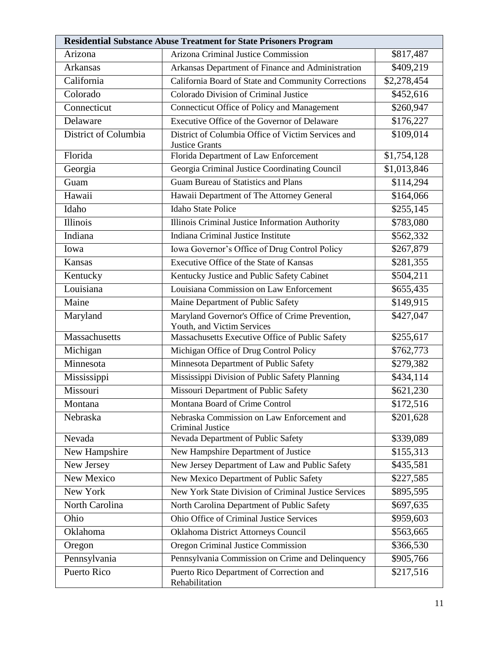| <b>Residential Substance Abuse Treatment for State Prisoners Program</b> |                                                                               |                         |  |
|--------------------------------------------------------------------------|-------------------------------------------------------------------------------|-------------------------|--|
| Arizona                                                                  | Arizona Criminal Justice Commission                                           | \$817,487               |  |
| Arkansas                                                                 | Arkansas Department of Finance and Administration                             | \$409,219               |  |
| California                                                               | California Board of State and Community Corrections                           | \$2,278,454             |  |
| Colorado                                                                 | Colorado Division of Criminal Justice                                         | \$452,616               |  |
| Connecticut                                                              | Connecticut Office of Policy and Management                                   | \$260,947               |  |
| Delaware                                                                 | Executive Office of the Governor of Delaware                                  | \$176,227               |  |
| District of Columbia                                                     | District of Columbia Office of Victim Services and<br><b>Justice Grants</b>   | \$109,014               |  |
| Florida                                                                  | Florida Department of Law Enforcement                                         | \$1,754,128             |  |
| Georgia                                                                  | Georgia Criminal Justice Coordinating Council                                 | $\overline{$1,013,846}$ |  |
| Guam                                                                     | <b>Guam Bureau of Statistics and Plans</b>                                    | \$114,294               |  |
| Hawaii                                                                   | Hawaii Department of The Attorney General                                     | \$164,066               |  |
| Idaho                                                                    | <b>Idaho State Police</b>                                                     | \$255,145               |  |
| <b>Illinois</b>                                                          | Illinois Criminal Justice Information Authority                               | \$783,080               |  |
| Indiana                                                                  | Indiana Criminal Justice Institute                                            | \$562,332               |  |
| Iowa                                                                     | Iowa Governor's Office of Drug Control Policy                                 | \$267,879               |  |
| Kansas                                                                   | Executive Office of the State of Kansas                                       | \$281,355               |  |
| Kentucky                                                                 | Kentucky Justice and Public Safety Cabinet                                    | \$504,211               |  |
| Louisiana                                                                | Louisiana Commission on Law Enforcement                                       | \$655,435               |  |
| Maine                                                                    | Maine Department of Public Safety                                             | \$149,915               |  |
| Maryland                                                                 | Maryland Governor's Office of Crime Prevention,<br>Youth, and Victim Services | \$427,047               |  |
| Massachusetts                                                            | Massachusetts Executive Office of Public Safety                               | \$255,617               |  |
| Michigan                                                                 | Michigan Office of Drug Control Policy                                        | \$762,773               |  |
| Minnesota                                                                | Minnesota Department of Public Safety                                         | \$279,382               |  |
| Mississippi                                                              | Mississippi Division of Public Safety Planning                                | \$434,114               |  |
| Missouri                                                                 | Missouri Department of Public Safety                                          | \$621,230               |  |
| Montana                                                                  | Montana Board of Crime Control                                                | \$172,516               |  |
| Nebraska                                                                 | Nebraska Commission on Law Enforcement and<br><b>Criminal Justice</b>         | \$201,628               |  |
| Nevada                                                                   | Nevada Department of Public Safety                                            | \$339,089               |  |
| New Hampshire                                                            | New Hampshire Department of Justice                                           | \$155,313               |  |
| New Jersey                                                               | New Jersey Department of Law and Public Safety                                | \$435,581               |  |
| New Mexico                                                               | New Mexico Department of Public Safety                                        | \$227,585               |  |
| New York                                                                 | New York State Division of Criminal Justice Services                          | \$895,595               |  |
| North Carolina                                                           | North Carolina Department of Public Safety                                    | \$697,635               |  |
| Ohio                                                                     | Ohio Office of Criminal Justice Services                                      | \$959,603               |  |
| Oklahoma                                                                 | Oklahoma District Attorneys Council                                           | \$563,665               |  |
| Oregon                                                                   | Oregon Criminal Justice Commission                                            | \$366,530               |  |
| Pennsylvania                                                             | Pennsylvania Commission on Crime and Delinquency                              | \$905,766               |  |
| Puerto Rico                                                              | Puerto Rico Department of Correction and<br>Rehabilitation                    | \$217,516               |  |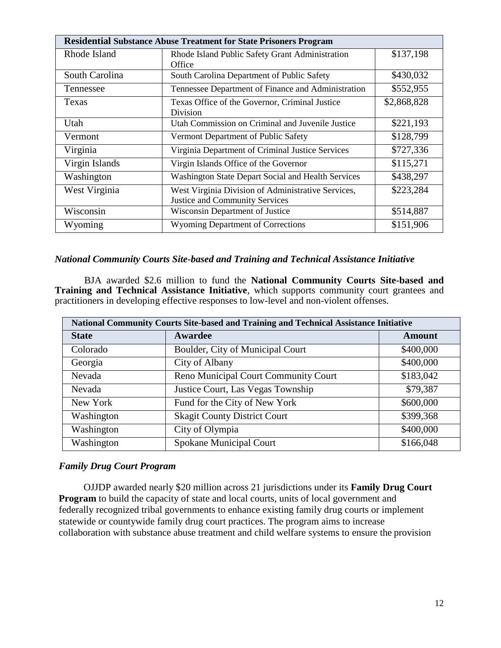| <b>Residential Substance Abuse Treatment for State Prisoners Program</b> |                                                                                             |             |  |
|--------------------------------------------------------------------------|---------------------------------------------------------------------------------------------|-------------|--|
| Rhode Island                                                             | Rhode Island Public Safety Grant Administration<br>Office                                   | \$137,198   |  |
| South Carolina                                                           | South Carolina Department of Public Safety                                                  | \$430,032   |  |
| Tennessee                                                                | Tennessee Department of Finance and Administration                                          | \$552,955   |  |
| Texas                                                                    | Texas Office of the Governor, Criminal Justice<br>Division                                  | \$2,868,828 |  |
| Utah                                                                     | Utah Commission on Criminal and Juvenile Justice                                            | \$221,193   |  |
| Vermont                                                                  | Vermont Department of Public Safety                                                         | \$128,799   |  |
| Virginia                                                                 | Virginia Department of Criminal Justice Services                                            | \$727,336   |  |
| Virgin Islands                                                           | Virgin Islands Office of the Governor                                                       | \$115,271   |  |
| Washington                                                               | Washington State Depart Social and Health Services                                          | \$438,297   |  |
| West Virginia                                                            | West Virginia Division of Administrative Services,<br><b>Justice and Community Services</b> | \$223,284   |  |
| Wisconsin                                                                | Wisconsin Department of Justice                                                             | \$514,887   |  |
| Wyoming                                                                  | <b>Wyoming Department of Corrections</b>                                                    | \$151,906   |  |

#### *National Community Courts Site-based and Training and Technical Assistance Initiative*

BJA awarded \$2.6 million to fund the **National Community Courts Site-based and Training and Technical Assistance Initiative**, which supports community court grantees and practitioners in developing effective responses to low-level and non-violent offenses.

| <b>National Community Courts Site-based and Training and Technical Assistance Initiative</b> |                                      |           |  |
|----------------------------------------------------------------------------------------------|--------------------------------------|-----------|--|
| <b>State</b>                                                                                 | Awardee                              | Amount    |  |
| Colorado                                                                                     | Boulder, City of Municipal Court     | \$400,000 |  |
| Georgia                                                                                      | City of Albany                       | \$400,000 |  |
| Nevada                                                                                       | Reno Municipal Court Community Court | \$183,042 |  |
| Nevada                                                                                       | Justice Court, Las Vegas Township    | \$79,387  |  |
| New York                                                                                     | Fund for the City of New York        | \$600,000 |  |
| Washington                                                                                   | <b>Skagit County District Court</b>  | \$399,368 |  |
| Washington                                                                                   | City of Olympia                      | \$400,000 |  |
| Washington                                                                                   | Spokane Municipal Court              | \$166,048 |  |

#### *Family Drug Court Program*

OJJDP awarded nearly \$20 million across 21 jurisdictions under its **Family Drug Court Program** to build the capacity of state and local courts, units of local government and federally recognized tribal governments to enhance existing family drug courts or implement statewide or countywide family drug court practices. The program aims to increase collaboration with substance abuse treatment and child welfare systems to ensure the provision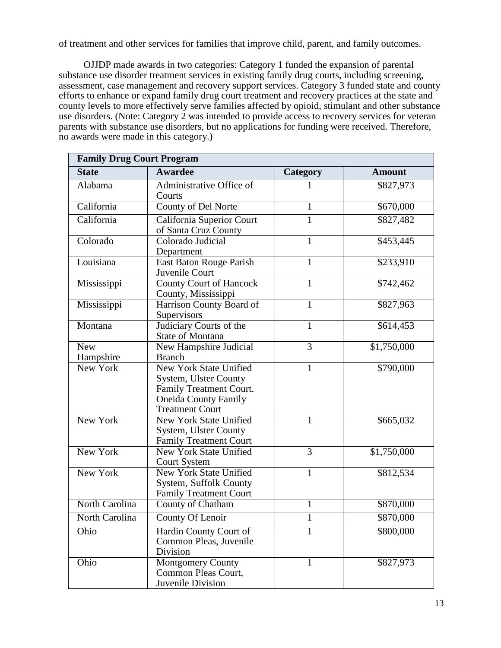of treatment and other services for families that improve child, parent, and family outcomes.

OJJDP made awards in two categories: Category 1 funded the expansion of parental substance use disorder treatment services in existing family drug courts, including screening, assessment, case management and recovery support services. Category 3 funded state and county efforts to enhance or expand family drug court treatment and recovery practices at the state and county levels to more effectively serve families affected by opioid, stimulant and other substance use disorders. (Note: Category 2 was intended to provide access to recovery services for veteran parents with substance use disorders, but no applications for funding were received. Therefore, no awards were made in this category.)

| <b>Family Drug Court Program</b> |                                                                                                                                     |              |               |
|----------------------------------|-------------------------------------------------------------------------------------------------------------------------------------|--------------|---------------|
| <b>State</b>                     | <b>Awardee</b>                                                                                                                      | Category     | <b>Amount</b> |
| Alabama                          | Administrative Office of<br>Courts                                                                                                  |              | \$827,973     |
| California                       | <b>County of Del Norte</b>                                                                                                          | $\mathbf{1}$ | \$670,000     |
| California                       | California Superior Court<br>of Santa Cruz County                                                                                   | 1            | \$827,482     |
| Colorado                         | Colorado Judicial<br>Department                                                                                                     | 1            | \$453,445     |
| Louisiana                        | East Baton Rouge Parish<br>Juvenile Court                                                                                           | 1            | \$233,910     |
| Mississippi                      | <b>County Court of Hancock</b><br>County, Mississippi                                                                               | $\mathbf{1}$ | \$742,462     |
| Mississippi                      | Harrison County Board of<br>Supervisors                                                                                             | $\mathbf{1}$ | \$827,963     |
| Montana                          | Judiciary Courts of the<br>State of Montana                                                                                         | $\mathbf{1}$ | \$614,453     |
| <b>New</b><br>Hampshire          | New Hampshire Judicial<br><b>Branch</b>                                                                                             | 3            | \$1,750,000   |
| New York                         | New York State Unified<br>System, Ulster County<br>Family Treatment Court.<br><b>Oneida County Family</b><br><b>Treatment Court</b> | 1            | \$790,000     |
| New York                         | New York State Unified<br><b>System, Ulster County</b><br><b>Family Treatment Court</b>                                             | $\mathbf{1}$ | \$665,032     |
| New York                         | <b>New York State Unified</b><br><b>Court System</b>                                                                                | 3            | \$1,750,000   |
| New York                         | <b>New York State Unified</b><br>System, Suffolk County<br><b>Family Treatment Court</b>                                            | $\mathbf{1}$ | \$812,534     |
| North Carolina                   | County of Chatham                                                                                                                   | $\mathbf{1}$ | \$870,000     |
| North Carolina                   | County Of Lenoir                                                                                                                    | 1            | \$870,000     |
| Ohio                             | Hardin County Court of<br>Common Pleas, Juvenile<br>Division                                                                        |              | \$800,000     |
| Ohio                             | <b>Montgomery County</b><br>Common Pleas Court,<br>Juvenile Division                                                                | 1            | \$827,973     |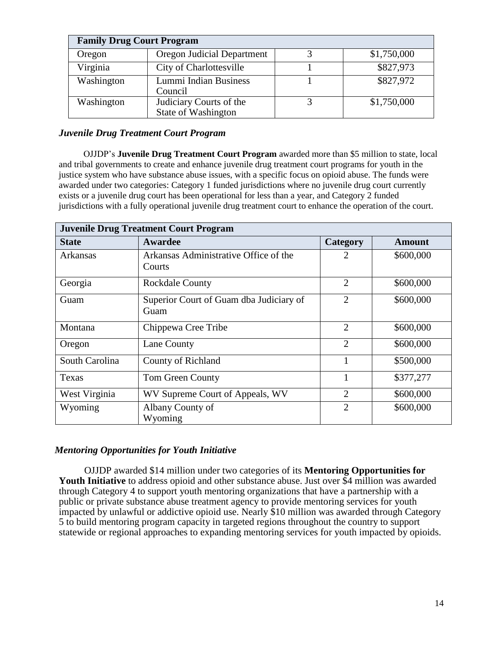| <b>Family Drug Court Program</b> |                                                       |  |             |
|----------------------------------|-------------------------------------------------------|--|-------------|
| Oregon                           | <b>Oregon Judicial Department</b>                     |  | \$1,750,000 |
| Virginia                         | City of Charlottesville                               |  | \$827,973   |
| Washington                       | Lummi Indian Business<br>Council                      |  | \$827,972   |
| Washington                       | Judiciary Courts of the<br><b>State of Washington</b> |  | \$1,750,000 |

## *Juvenile Drug Treatment Court Program*

OJJDP's **Juvenile Drug Treatment Court Program** awarded more than \$5 million to state, local and tribal governments to create and enhance juvenile drug treatment court programs for youth in the justice system who have substance abuse issues, with a specific focus on opioid abuse. The funds were awarded under two categories: Category 1 funded jurisdictions where no juvenile drug court currently exists or a juvenile drug court has been operational for less than a year, and Category 2 funded jurisdictions with a fully operational juvenile drug treatment court to enhance the operation of the court.

| <b>Juvenile Drug Treatment Court Program</b> |                                                 |                |           |
|----------------------------------------------|-------------------------------------------------|----------------|-----------|
| <b>State</b>                                 | Awardee                                         | Category       | Amount    |
| Arkansas                                     | Arkansas Administrative Office of the<br>Courts |                | \$600,000 |
| Georgia                                      | <b>Rockdale County</b>                          | $\overline{2}$ | \$600,000 |
| Guam                                         | Superior Court of Guam dba Judiciary of<br>Guam | $\overline{2}$ | \$600,000 |
| Montana                                      | Chippewa Cree Tribe                             | $\overline{2}$ | \$600,000 |
| Oregon                                       | Lane County                                     | $\overline{2}$ | \$600,000 |
| South Carolina                               | County of Richland                              |                | \$500,000 |
| Texas                                        | Tom Green County                                |                | \$377,277 |
| West Virginia                                | WV Supreme Court of Appeals, WV                 | $\overline{2}$ | \$600,000 |
| Wyoming                                      | Albany County of<br>Wyoming                     | $\overline{2}$ | \$600,000 |

## *Mentoring Opportunities for Youth Initiative*

OJJDP awarded \$14 million under two categories of its **Mentoring Opportunities for Youth Initiative** to address opioid and other substance abuse. Just over \$4 million was awarded through Category 4 to support youth mentoring organizations that have a partnership with a public or private substance abuse treatment agency to provide mentoring services for youth impacted by unlawful or addictive opioid use. Nearly \$10 million was awarded through Category 5 to build mentoring program capacity in targeted regions throughout the country to support statewide or regional approaches to expanding mentoring services for youth impacted by opioids.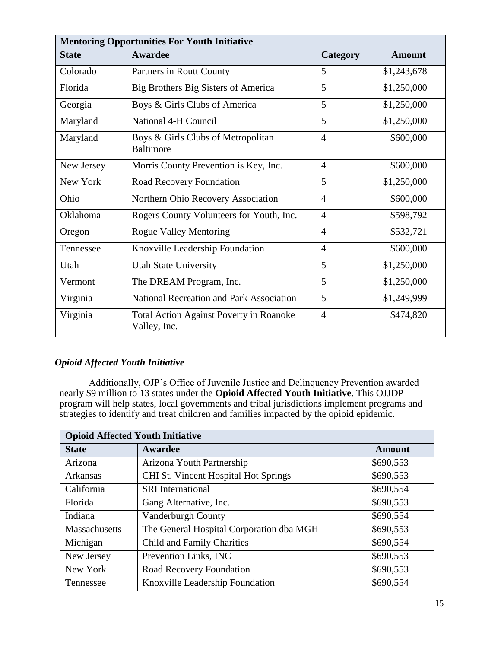| <b>Mentoring Opportunities For Youth Initiative</b> |                                                                |                |               |
|-----------------------------------------------------|----------------------------------------------------------------|----------------|---------------|
| <b>State</b>                                        | Awardee                                                        | Category       | <b>Amount</b> |
| Colorado                                            | Partners in Routt County                                       | 5              | \$1,243,678   |
| Florida                                             | Big Brothers Big Sisters of America                            | 5              | \$1,250,000   |
| Georgia                                             | Boys & Girls Clubs of America                                  | 5              | \$1,250,000   |
| Maryland                                            | National 4-H Council                                           | 5              | \$1,250,000   |
| Maryland                                            | Boys & Girls Clubs of Metropolitan<br><b>Baltimore</b>         | $\overline{4}$ | \$600,000     |
| New Jersey                                          | Morris County Prevention is Key, Inc.                          | $\overline{4}$ | \$600,000     |
| New York                                            | Road Recovery Foundation                                       | 5              | \$1,250,000   |
| Ohio                                                | Northern Ohio Recovery Association                             | $\overline{4}$ | \$600,000     |
| Oklahoma                                            | Rogers County Volunteers for Youth, Inc.                       | $\overline{4}$ | \$598,792     |
| Oregon                                              | <b>Rogue Valley Mentoring</b>                                  | $\overline{4}$ | \$532,721     |
| Tennessee                                           | Knoxville Leadership Foundation                                | $\overline{4}$ | \$600,000     |
| Utah                                                | <b>Utah State University</b>                                   | 5              | \$1,250,000   |
| Vermont                                             | The DREAM Program, Inc.                                        | 5              | \$1,250,000   |
| Virginia                                            | National Recreation and Park Association                       | 5              | \$1,249,999   |
| Virginia                                            | <b>Total Action Against Poverty in Roanoke</b><br>Valley, Inc. | $\overline{4}$ | \$474,820     |

# *Opioid Affected Youth Initiative*

Additionally, OJP's Office of Juvenile Justice and Delinquency Prevention awarded nearly \$9 million to 13 states under the **Opioid Affected Youth Initiative**. This OJJDP program will help states, local governments and tribal jurisdictions implement programs and strategies to identify and treat children and families impacted by the opioid epidemic.

| <b>Opioid Affected Youth Initiative</b> |                                          |           |  |
|-----------------------------------------|------------------------------------------|-----------|--|
| <b>State</b>                            | Awardee                                  | Amount    |  |
| Arizona                                 | Arizona Youth Partnership                | \$690,553 |  |
| <b>Arkansas</b>                         | CHI St. Vincent Hospital Hot Springs     | \$690,553 |  |
| California                              | <b>SRI</b> International                 | \$690,554 |  |
| Florida                                 | Gang Alternative, Inc.                   | \$690,553 |  |
| Indiana                                 | <b>Vanderburgh County</b>                | \$690,554 |  |
| Massachusetts                           | The General Hospital Corporation dba MGH | \$690,553 |  |
| Michigan                                | Child and Family Charities               | \$690,554 |  |
| New Jersey                              | Prevention Links, INC                    | \$690,553 |  |
| New York                                | Road Recovery Foundation                 | \$690,553 |  |
| Tennessee                               | Knoxville Leadership Foundation          | \$690,554 |  |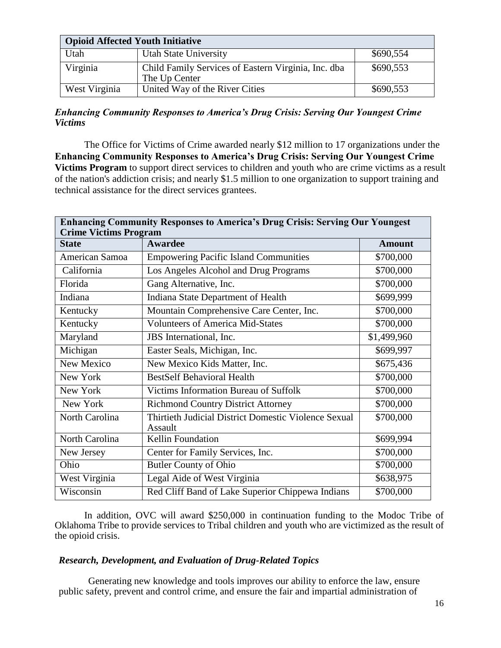|               | <b>Opioid Affected Youth Initiative</b>                              |           |  |
|---------------|----------------------------------------------------------------------|-----------|--|
| Utah          | Utah State University                                                | \$690,554 |  |
| Virginia      | Child Family Services of Eastern Virginia, Inc. dba<br>The Up Center | \$690,553 |  |
| West Virginia | United Way of the River Cities                                       | \$690,553 |  |

## *Enhancing Community Responses to America's Drug Crisis: Serving Our Youngest Crime Victims*

The Office for Victims of Crime awarded nearly \$12 million to 17 organizations under the **Enhancing Community Responses to America's Drug Crisis: Serving Our Youngest Crime Victims Program** to support direct services to children and youth who are crime victims as a result of the nation's addiction crisis; and nearly \$1.5 million to one organization to support training and technical assistance for the direct services grantees.

| <b>Enhancing Community Responses to America's Drug Crisis: Serving Our Youngest</b><br><b>Crime Victims Program</b> |                                                                 |               |
|---------------------------------------------------------------------------------------------------------------------|-----------------------------------------------------------------|---------------|
| <b>State</b>                                                                                                        | <b>Awardee</b>                                                  | <b>Amount</b> |
| American Samoa                                                                                                      | <b>Empowering Pacific Island Communities</b>                    | \$700,000     |
| California                                                                                                          | Los Angeles Alcohol and Drug Programs                           | \$700,000     |
| Florida                                                                                                             | Gang Alternative, Inc.                                          | \$700,000     |
| Indiana                                                                                                             | Indiana State Department of Health                              | \$699,999     |
| Kentucky                                                                                                            | Mountain Comprehensive Care Center, Inc.                        | \$700,000     |
| Kentucky                                                                                                            | <b>Volunteers of America Mid-States</b>                         | \$700,000     |
| Maryland                                                                                                            | JBS International, Inc.                                         | \$1,499,960   |
| Michigan                                                                                                            | Easter Seals, Michigan, Inc.                                    | \$699,997     |
| New Mexico                                                                                                          | New Mexico Kids Matter, Inc.                                    | \$675,436     |
| New York                                                                                                            | <b>BestSelf Behavioral Health</b>                               | \$700,000     |
| New York                                                                                                            | Victims Information Bureau of Suffolk                           | \$700,000     |
| New York                                                                                                            | <b>Richmond Country District Attorney</b>                       | \$700,000     |
| North Carolina                                                                                                      | Thirtieth Judicial District Domestic Violence Sexual<br>Assault | \$700,000     |
| North Carolina                                                                                                      | <b>Kellin Foundation</b>                                        | \$699,994     |
| New Jersey                                                                                                          | Center for Family Services, Inc.                                | \$700,000     |
| Ohio                                                                                                                | <b>Butler County of Ohio</b>                                    | \$700,000     |
| West Virginia                                                                                                       | Legal Aide of West Virginia                                     | \$638,975     |
| Wisconsin                                                                                                           | Red Cliff Band of Lake Superior Chippewa Indians                | \$700,000     |

In addition, OVC will award \$250,000 in continuation funding to the Modoc Tribe of Oklahoma Tribe to provide services to Tribal children and youth who are victimized as the result of the opioid crisis.

# *Research, Development, and Evaluation of Drug-Related Topics*

Generating new knowledge and tools improves our ability to enforce the law, ensure public safety, prevent and control crime, and ensure the fair and impartial administration of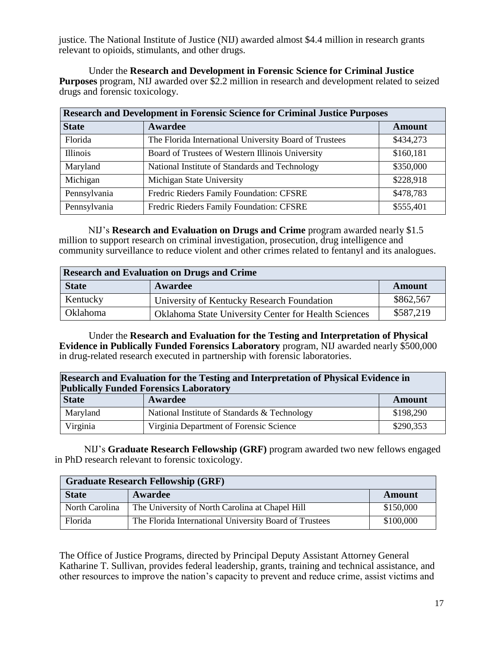justice. The National Institute of Justice (NIJ) awarded almost \$4.4 million in research grants relevant to opioids, stimulants, and other drugs.

Under the **Research and Development in Forensic Science for Criminal Justice Purposes** program, NIJ awarded over \$2.2 million in research and development related to seized drugs and forensic toxicology.

| <b>Research and Development in Forensic Science for Criminal Justice Purposes</b> |                                                        |               |
|-----------------------------------------------------------------------------------|--------------------------------------------------------|---------------|
| <b>State</b>                                                                      | Awardee                                                | <b>Amount</b> |
| Florida                                                                           | The Florida International University Board of Trustees | \$434,273     |
| Illinois                                                                          | Board of Trustees of Western Illinois University       | \$160,181     |
| Maryland                                                                          | National Institute of Standards and Technology         | \$350,000     |
| Michigan                                                                          | Michigan State University                              | \$228,918     |
| Pennsylvania                                                                      | Fredric Rieders Family Foundation: CFSRE               | \$478,783     |
| Pennsylvania                                                                      | Fredric Rieders Family Foundation: CFSRE               | \$555,401     |

NIJ's **Research and Evaluation on Drugs and Crime** program awarded nearly \$1.5 million to support research on criminal investigation, prosecution, drug intelligence and community surveillance to reduce violent and other crimes related to fentanyl and its analogues.

| <b>Research and Evaluation on Drugs and Crime</b> |                                                             |               |
|---------------------------------------------------|-------------------------------------------------------------|---------------|
| <b>State</b>                                      | Awardee                                                     | <b>Amount</b> |
| Kentucky                                          | University of Kentucky Research Foundation                  | \$862,567     |
| <b>Oklahoma</b>                                   | <b>Oklahoma State University Center for Health Sciences</b> | \$587,219     |

Under the **Research and Evaluation for the Testing and Interpretation of Physical Evidence in Publically Funded Forensics Laboratory** program, NIJ awarded nearly \$500,000 in drug-related research executed in partnership with forensic laboratories.

|              | <b>Research and Evaluation for the Testing and Interpretation of Physical Evidence in</b><br><b>Publically Funded Forensics Laboratory</b> |           |  |
|--------------|--------------------------------------------------------------------------------------------------------------------------------------------|-----------|--|
| <b>State</b> | Awardee                                                                                                                                    | Amount    |  |
| Maryland     | National Institute of Standards & Technology                                                                                               | \$198,290 |  |
| Virginia     | Virginia Department of Forensic Science                                                                                                    | \$290,353 |  |

NIJ's **Graduate Research Fellowship (GRF)** program awarded two new fellows engaged in PhD research relevant to forensic toxicology.

| <b>Graduate Research Fellowship (GRF)</b> |                                                        |           |
|-------------------------------------------|--------------------------------------------------------|-----------|
| <b>State</b>                              | Awardee                                                | Amount    |
| North Carolina                            | The University of North Carolina at Chapel Hill        | \$150,000 |
| Florida                                   | The Florida International University Board of Trustees | \$100,000 |

The Office of Justice Programs, directed by Principal Deputy Assistant Attorney General Katharine T. Sullivan, provides federal leadership, grants, training and technical assistance, and other resources to improve the nation's capacity to prevent and reduce crime, assist victims and